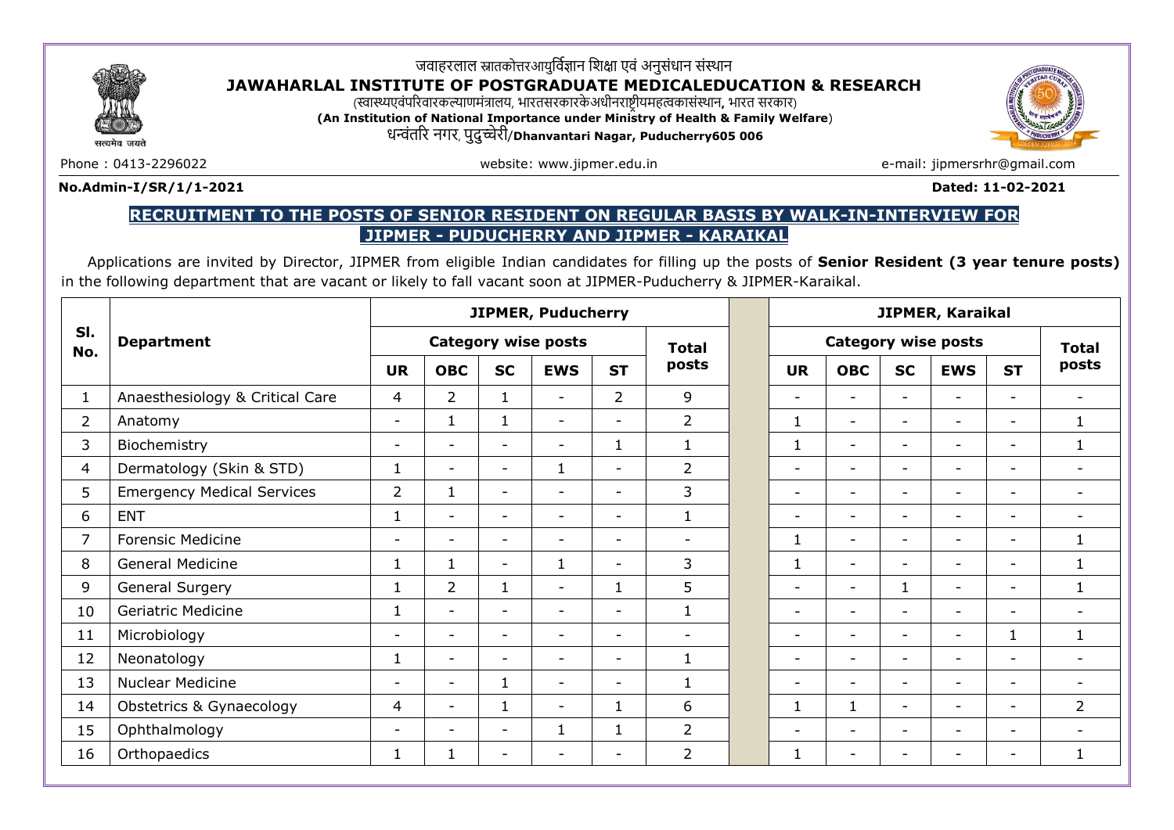

# जवाहरलाल स्नातकोत्तरआयुर्विज्ञान शिक्षा एवं अनुसंधान संस्थान

## **JAWAHARLAL INSTITUTE OF POSTGRADUATE MEDICALEDUCATION & RESEARCH**

(स्वास्थ्यएवंपररवारकल्याणमंत्रालय, भारतसरकारकेअधीनराष्ट्रीयमहत्वकासंस्थान**,** भारत सरकार)

**(An Institution of National Importance under Ministry of Health & Family Welfare**) धन्वंतरर नगर, पुदुच्चेरी/**Dhanvantari Nagar, Puducherry605 006**

सत्यमेत ज



Phone : 0413-2296022 example and the setting of the website: www.jipmer.edu.in example the setting of the setting of the setting of the setting of the setting of the setting of the setting of the setting of the setting of

#### **No.Admin-I/SR/1/1-2021 Dated: 11-02-2021**

## **RECRUITMENT TO THE POSTS OF SENIOR RESIDENT ON REGULAR BASIS BY WALK-IN-INTERVIEW FOR JIPMER - PUDUCHERRY AND JIPMER - KARAIKAL**

Applications are invited by Director, JIPMER from eligible Indian candidates for filling up the posts of **Senior Resident (3 year tenure posts)**  in the following department that are vacant or likely to fall vacant soon at JIPMER-Puducherry & JIPMER-Karaikal.

|                | <b>Department</b>                 | <b>JIPMER, Puducherry</b>  |                          |                          |                          |                          |                          | JIPMER, Karaikal           |                          |                          |                          |                          |                          |
|----------------|-----------------------------------|----------------------------|--------------------------|--------------------------|--------------------------|--------------------------|--------------------------|----------------------------|--------------------------|--------------------------|--------------------------|--------------------------|--------------------------|
| SI.<br>No.     |                                   | <b>Category wise posts</b> |                          |                          |                          |                          | <b>Total</b>             | <b>Category wise posts</b> |                          |                          |                          | <b>Total</b>             |                          |
|                |                                   | <b>UR</b>                  | <b>OBC</b>               | <b>SC</b>                | <b>EWS</b>               | <b>ST</b>                | posts                    | <b>UR</b>                  | <b>OBC</b>               | <b>SC</b>                | <b>EWS</b>               | <b>ST</b>                | posts                    |
| $\mathbf{1}$   | Anaesthesiology & Critical Care   | 4                          | $\overline{2}$           | $\mathbf{1}$             |                          | $\overline{2}$           | 9                        | $\overline{\phantom{0}}$   | ۳                        | $\overline{\phantom{0}}$ | $\overline{\phantom{0}}$ | $\overline{\phantom{0}}$ | $\overline{\phantom{a}}$ |
| $\overline{2}$ | Anatomy                           | $\overline{\phantom{a}}$   | 1                        | 1                        | $\overline{\phantom{0}}$ | $\overline{\phantom{a}}$ | $\overline{2}$           | 1                          | $\overline{\phantom{a}}$ | $\overline{\phantom{0}}$ | $\overline{\phantom{a}}$ | $\overline{\phantom{a}}$ | 1                        |
| 3              | Biochemistry                      | $\overline{\phantom{a}}$   | $\overline{\phantom{a}}$ | $\overline{\phantom{a}}$ | $\overline{\phantom{a}}$ | $\mathbf{1}$             | $\mathbf{1}$             | $\mathbf 1$                | $\overline{\phantom{0}}$ | $\overline{\phantom{0}}$ | $\overline{\phantom{a}}$ | $\overline{\phantom{a}}$ | 1                        |
| 4              | Dermatology (Skin & STD)          | $\mathbf 1$                | $\overline{\phantom{a}}$ | $\overline{\phantom{a}}$ | 1                        | $\overline{\phantom{a}}$ | $\overline{2}$           | $\overline{\phantom{a}}$   | $\overline{\phantom{a}}$ | $\overline{\phantom{a}}$ | $\overline{\phantom{a}}$ | $\overline{\phantom{a}}$ | $\overline{\phantom{a}}$ |
| 5              | <b>Emergency Medical Services</b> | $\overline{2}$             | $\mathbf{1}$             | $\overline{\phantom{a}}$ | $\overline{\phantom{0}}$ | $\overline{\phantom{0}}$ | 3                        | $\overline{\phantom{0}}$   | $\overline{\phantom{0}}$ | $\overline{\phantom{a}}$ | $\overline{\phantom{0}}$ | $\overline{\phantom{0}}$ | $\overline{\phantom{a}}$ |
| 6              | <b>ENT</b>                        | $\mathbf{1}$               | $\overline{\phantom{a}}$ | $\overline{\phantom{a}}$ | $\overline{\phantom{0}}$ | $\overline{\phantom{0}}$ | $\mathbf{1}$             | $\overline{\phantom{0}}$   | $\overline{\phantom{0}}$ | $\overline{\phantom{0}}$ | $\overline{\phantom{a}}$ | $\overline{\phantom{a}}$ | $\overline{\phantom{a}}$ |
| $\overline{7}$ | <b>Forensic Medicine</b>          | $\overline{\phantom{a}}$   | $\overline{\phantom{0}}$ | $\overline{\phantom{a}}$ | $\overline{\phantom{0}}$ | $\overline{\phantom{0}}$ | $\overline{\phantom{a}}$ | $\mathbf{1}$               | $\overline{\phantom{0}}$ | $\overline{\phantom{0}}$ | $\overline{\phantom{a}}$ | $\overline{\phantom{0}}$ | $\mathbf{1}$             |
| 8              | General Medicine                  | 1                          | 1                        | $\overline{\phantom{a}}$ | $\mathbf{1}$             | $\overline{\phantom{0}}$ | 3                        | $\mathbf{1}$               | $\overline{\phantom{0}}$ | $\overline{\phantom{0}}$ | $\overline{\phantom{0}}$ | $\overline{\phantom{0}}$ | $\mathbf{1}$             |
| 9              | General Surgery                   | 1                          | 2                        | $\mathbf{1}$             |                          | $\mathbf{1}$             | 5                        | $\overline{\phantom{0}}$   | ۳                        | $\mathbf{1}$             | $\overline{\phantom{a}}$ | $\overline{\phantom{0}}$ | $\mathbf{1}$             |
| 10             | <b>Geriatric Medicine</b>         | 1                          | $\overline{\phantom{0}}$ | $\overline{\phantom{a}}$ | $\overline{\phantom{a}}$ | $\overline{\phantom{a}}$ | 1                        | $\overline{\phantom{0}}$   | $\overline{\phantom{0}}$ | $\overline{\phantom{0}}$ | $\overline{\phantom{a}}$ | $\overline{\phantom{0}}$ | $\overline{\phantom{a}}$ |
| 11             | Microbiology                      | $\overline{\phantom{a}}$   | $\overline{\phantom{0}}$ | $\overline{\phantom{0}}$ |                          | $\overline{\phantom{a}}$ | $\overline{\phantom{a}}$ | $\overline{\phantom{0}}$   | ۳                        | $\overline{\phantom{0}}$ | $\overline{\phantom{a}}$ | $\mathbf{1}$             | $\mathbf{1}$             |
| 12             | Neonatology                       | 1                          | $\overline{\phantom{0}}$ | $\overline{a}$           | $\overline{\phantom{0}}$ | $\overline{\phantom{0}}$ | 1                        | $\overline{\phantom{0}}$   | $\overline{\phantom{0}}$ | $\overline{\phantom{0}}$ | $\overline{\phantom{a}}$ | $\overline{\phantom{0}}$ | $\overline{\phantom{a}}$ |
| 13             | <b>Nuclear Medicine</b>           | $\overline{\phantom{a}}$   | $\overline{\phantom{a}}$ | 1                        | $\overline{\phantom{a}}$ | $\overline{\phantom{a}}$ | $\mathbf{1}$             |                            | $\overline{\phantom{0}}$ | $\overline{\phantom{a}}$ | $\overline{\phantom{0}}$ | $\overline{\phantom{a}}$ | $\overline{\phantom{a}}$ |
| 14             | Obstetrics & Gynaecology          | 4                          | $\overline{\phantom{a}}$ | $\mathbf{1}$             | $\overline{\phantom{a}}$ | $\mathbf{1}$             | 6                        | $\mathbf{1}$               | $\mathbf{1}$             | $\overline{\phantom{a}}$ | $\overline{\phantom{a}}$ | $\overline{\phantom{a}}$ | $\overline{2}$           |
| 15             | Ophthalmology                     | $\overline{\phantom{a}}$   | $\overline{\phantom{a}}$ | $\overline{\phantom{a}}$ | 1                        | $\mathbf{1}$             | $\overline{2}$           | $\overline{\phantom{0}}$   | $\overline{\phantom{0}}$ | $\overline{\phantom{0}}$ | $\overline{\phantom{0}}$ | $\overline{\phantom{a}}$ | $\overline{\phantom{a}}$ |
| 16             | Orthopaedics                      | 1                          | 1                        | $\overline{\phantom{0}}$ |                          | $\overline{\phantom{a}}$ | $\overline{2}$           | $\mathbf{1}$               | $\overline{\phantom{0}}$ |                          |                          |                          | 1                        |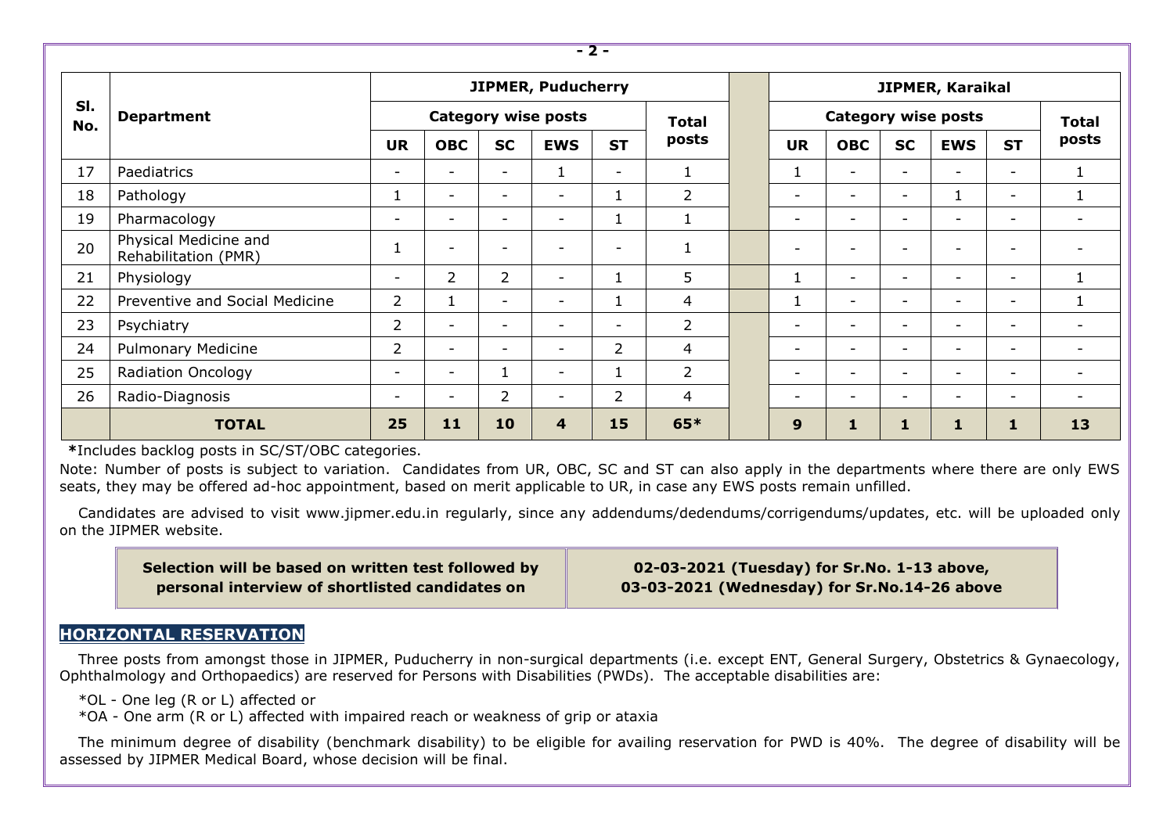| - 2 -      |                                               |                            |                          |                          |                          |                          |                |  |                            |                          |                          |                          |                          |                          |  |
|------------|-----------------------------------------------|----------------------------|--------------------------|--------------------------|--------------------------|--------------------------|----------------|--|----------------------------|--------------------------|--------------------------|--------------------------|--------------------------|--------------------------|--|
|            | <b>Department</b>                             | <b>JIPMER, Puducherry</b>  |                          |                          |                          |                          |                |  | JIPMER, Karaikal           |                          |                          |                          |                          |                          |  |
| SI.<br>No. |                                               | <b>Category wise posts</b> |                          |                          |                          |                          | <b>Total</b>   |  | <b>Category wise posts</b> |                          |                          |                          |                          | <b>Total</b>             |  |
|            |                                               | <b>UR</b>                  | <b>OBC</b>               | <b>SC</b>                | <b>EWS</b>               | <b>ST</b>                | posts          |  | <b>UR</b>                  | <b>OBC</b>               | <b>SC</b>                | <b>EWS</b>               | <b>ST</b>                | posts                    |  |
| 17         | Paediatrics                                   | $\overline{\phantom{0}}$   | $\overline{\phantom{a}}$ | $\overline{\phantom{0}}$ |                          | $\overline{\phantom{0}}$ |                |  | 1                          | $\overline{\phantom{a}}$ | $\overline{\phantom{a}}$ | $\overline{\phantom{0}}$ | ۰.                       |                          |  |
| 18         | Pathology                                     | $\mathbf{1}$               | $\overline{\phantom{a}}$ | $\overline{\phantom{0}}$ | $\overline{\phantom{a}}$ | 1                        | 2              |  | $\overline{\phantom{0}}$   | $\overline{\phantom{a}}$ | $\overline{\phantom{a}}$ |                          | $\overline{\phantom{a}}$ | 1                        |  |
| 19         | Pharmacology                                  | $\overline{\phantom{0}}$   | $\overline{\phantom{a}}$ | $\overline{\phantom{0}}$ | $\overline{\phantom{0}}$ |                          |                |  | $\overline{\phantom{0}}$   | $\overline{\phantom{0}}$ | $\overline{\phantom{0}}$ | $\overline{\phantom{0}}$ | ۰.                       | $\overline{\phantom{a}}$ |  |
| 20         | Physical Medicine and<br>Rehabilitation (PMR) |                            | $\overline{\phantom{a}}$ | $\overline{\phantom{0}}$ | $\overline{\phantom{0}}$ | $\overline{\phantom{0}}$ |                |  | $\overline{\phantom{0}}$   | $\overline{\phantom{a}}$ | $\overline{\phantom{a}}$ | $\overline{\phantom{0}}$ | $\overline{\phantom{0}}$ | $\overline{\phantom{a}}$ |  |
| 21         | Physiology                                    | $\overline{\phantom{a}}$   | $\overline{2}$           | $\overline{2}$           | $\overline{\phantom{a}}$ | T                        | 5              |  | 1                          | $\overline{\phantom{0}}$ | $\overline{\phantom{a}}$ | $\overline{\phantom{0}}$ | $\overline{\phantom{a}}$ | 1                        |  |
| 22         | Preventive and Social Medicine                | $\overline{2}$             | 1                        | $\overline{\phantom{0}}$ | $\overline{\phantom{a}}$ | $\perp$                  | 4              |  | 1                          | $\overline{\phantom{0}}$ | $\overline{\phantom{0}}$ | $\overline{\phantom{0}}$ | ۰.                       | 1                        |  |
| 23         | Psychiatry                                    | $\overline{2}$             | $\overline{\phantom{0}}$ | $\overline{\phantom{0}}$ | $\overline{\phantom{0}}$ | $\overline{\phantom{0}}$ | $\overline{2}$ |  | $\overline{\phantom{0}}$   | $\overline{\phantom{0}}$ | $\overline{\phantom{a}}$ | $\overline{\phantom{0}}$ | -                        | $\overline{\phantom{a}}$ |  |
| 24         | <b>Pulmonary Medicine</b>                     | $\overline{2}$             | $\overline{\phantom{a}}$ | $\overline{\phantom{0}}$ | $\overline{\phantom{a}}$ | $\overline{2}$           | 4              |  | $\overline{\phantom{0}}$   | $\overline{\phantom{0}}$ | $\overline{\phantom{0}}$ | $\overline{\phantom{0}}$ | ۰.                       | $\overline{\phantom{0}}$ |  |
| 25         | <b>Radiation Oncology</b>                     | $\overline{\phantom{0}}$   | $\overline{\phantom{a}}$ | 1                        | $\overline{\phantom{a}}$ | T                        | $\overline{2}$ |  | $\overline{\phantom{0}}$   | $\overline{\phantom{0}}$ | $\overline{\phantom{0}}$ | $\overline{\phantom{0}}$ | -                        | $\overline{\phantom{a}}$ |  |
| 26         | Radio-Diagnosis                               | $\overline{\phantom{0}}$   | $\overline{\phantom{a}}$ | $\overline{2}$           | $\overline{\phantom{a}}$ | $\overline{2}$           | 4              |  | $\overline{\phantom{0}}$   | $\overline{\phantom{0}}$ | $\overline{\phantom{0}}$ | $\overline{\phantom{0}}$ | $\overline{\phantom{0}}$ | $\overline{\phantom{a}}$ |  |
|            | <b>TOTAL</b>                                  | 25                         | 11                       | 10                       | 4                        | 15                       | $65*$          |  | 9                          | 1                        | 1                        | 1                        |                          | 13                       |  |

**\***Includes backlog posts in SC/ST/OBC categories.

Note: Number of posts is subject to variation. Candidates from UR, OBC, SC and ST can also apply in the departments where there are only EWS seats, they may be offered ad-hoc appointment, based on merit applicable to UR, in case any EWS posts remain unfilled.

Candidates are advised to visit [www.jipmer.edu.in](http://www.jipmer.edu.in/) regularly, since any addendums/dedendums/corrigendums/updates, etc. will be uploaded only on the JIPMER website.

| Selection will be based on written test followed by |
|-----------------------------------------------------|
| personal interview of shortlisted candidates on     |

**02-03-2021 (Tuesday) for Sr.No. 1-13 above, 03-03-2021 (Wednesday) for Sr.No.14-26 above**

### **HORIZONTAL RESERVATION**

Three posts from amongst those in JIPMER, Puducherry in non-surgical departments (i.e. except ENT, General Surgery, Obstetrics & Gynaecology, Ophthalmology and Orthopaedics) are reserved for Persons with Disabilities (PWDs). The acceptable disabilities are:

- \*OL One leg (R or L) affected or
- \*OA One arm (R or L) affected with impaired reach or weakness of grip or ataxia

The minimum degree of disability (benchmark disability) to be eligible for availing reservation for PWD is 40%. The degree of disability will be assessed by JIPMER Medical Board, whose decision will be final.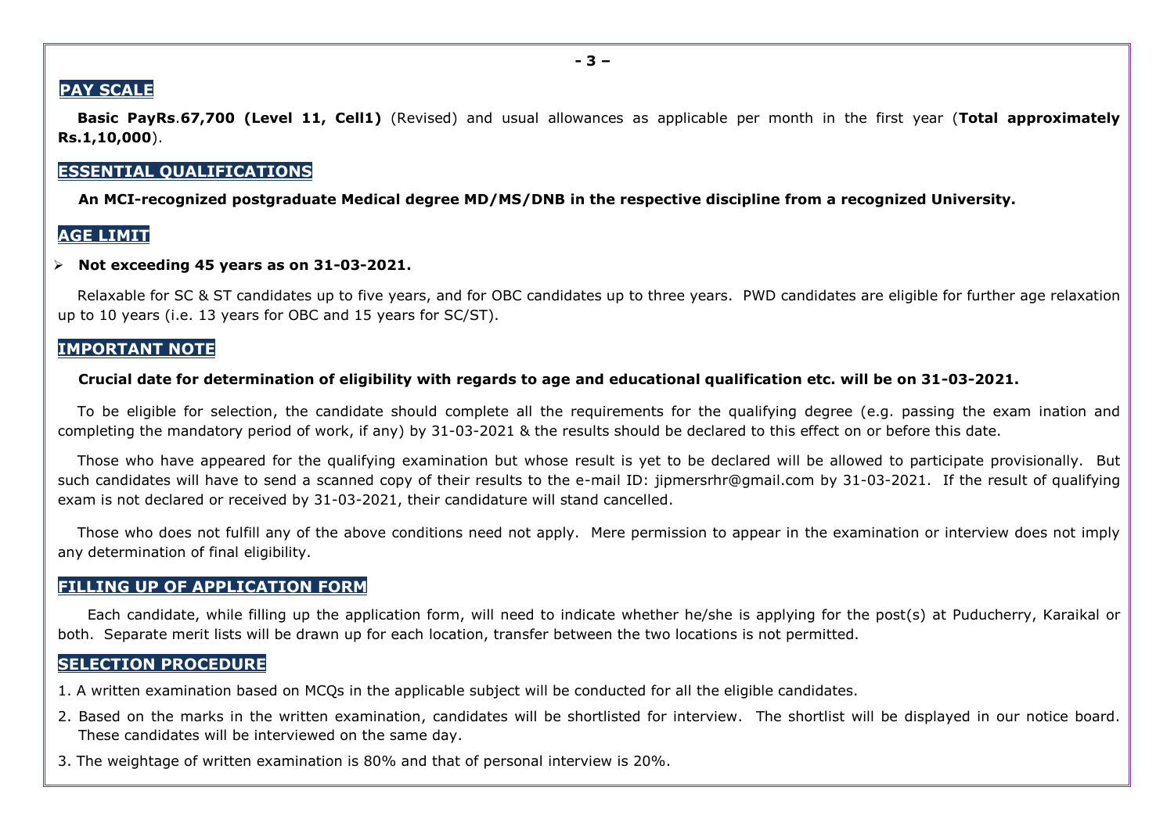### **PAY SCALE**

**Basic PayRs**.**67,700 (Level 11, Cell1)** (Revised) and usual allowances as applicable per month in the first year (**Total approximately Rs.1,10,000**).

### **ESSENTIAL QUALIFICATIONS**

**An MCI-recognized postgraduate Medical degree MD/MS/DNB in the respective discipline from a recognized University.**

### **AGE LIMIT**

#### **Not exceeding 45 years as on 31-03-2021.**

Relaxable for SC & ST candidates up to five years, and for OBC candidates up to three years. PWD candidates are eligible for further age relaxation up to 10 years (i.e. 13 years for OBC and 15 years for SC/ST).

#### **IMPORTANT NOTE**

#### **Crucial date for determination of eligibility with regards to age and educational qualification etc. will be on 31-03-2021.**

To be eligible for selection, the candidate should complete all the requirements for the qualifying degree (e.g. passing the exam ination and completing the mandatory period of work, if any) by 31-03-2021 & the results should be declared to this effect on or before this date.

Those who have appeared for the qualifying examination but whose result is yet to be declared will be allowed to participate provisionally. But such candidates will have to send a scanned copy of their results to the e-mail ID: [jipmersrhr@gmail.com](mailto:jipmersrhr@gmail.com) by 31-03-2021. If the result of qualifying exam is not declared or received by 31-03-2021, their candidature will stand cancelled.

Those who does not fulfill any of the above conditions need not apply. Mere permission to appear in the examination or interview does not imply any determination of final eligibility.

#### **FILLING UP OF APPLICATION FORM**

Each candidate, while filling up the application form, will need to indicate whether he/she is applying for the post(s) at Puducherry, Karaikal or both. Separate merit lists will be drawn up for each location, transfer between the two locations is not permitted.

#### **SELECTION PROCEDURE**

- 1. A written examination based on MCQs in the applicable subject will be conducted for all the eligible candidates.
- 2. Based on the marks in the written examination, candidates will be shortlisted for interview. The shortlist will be displayed in our notice board. These candidates will be interviewed on the same day.
- 3. The weightage of written examination is 80% and that of personal interview is 20%.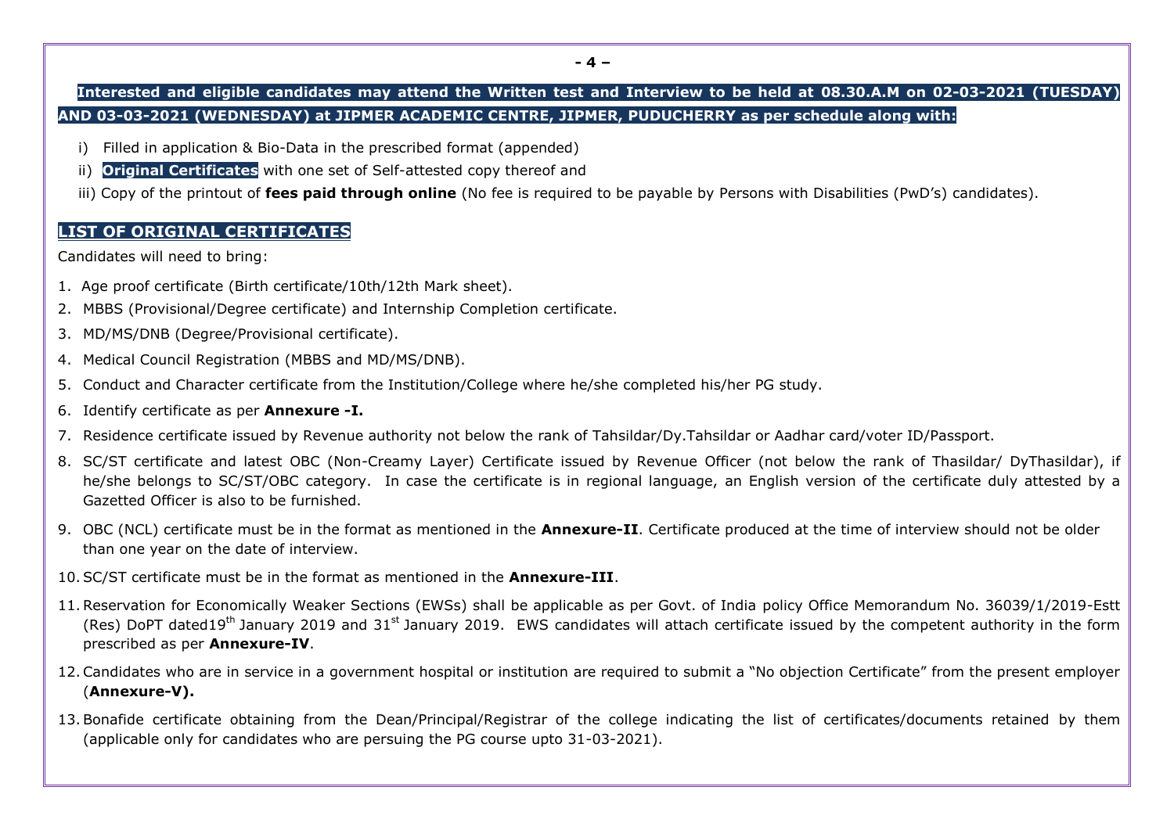## **Interested and eligible candidates may attend the Written test and Interview to be held at 08.30.A.M on 02-03-2021 (TUESDAY) AND 03-03-2021 (WEDNESDAY) at JIPMER ACADEMIC CENTRE, JIPMER, PUDUCHERRY as per schedule along with:**

- i) Filled in application & Bio-Data in the prescribed format (appended)
- ii) **Original Certificates** with one set of Self-attested copy thereof and
- iii) Copy of the printout of **fees paid through online** (No fee is required to be payable by Persons with Disabilities (PwD's) candidates).

## **LIST OF ORIGINAL CERTIFICATES**

Candidates will need to bring:

- 1. Age proof certificate (Birth certificate/10th/12th Mark sheet).
- 2. MBBS (Provisional/Degree certificate) and Internship Completion certificate.
- 3. MD/MS/DNB (Degree/Provisional certificate).
- 4. Medical Council Registration (MBBS and MD/MS/DNB).
- 5. Conduct and Character certificate from the Institution/College where he/she completed his/her PG study.
- 6. Identify certificate as per **Annexure -I.**
- 7. Residence certificate issued by Revenue authority not below the rank of Tahsildar/Dy.Tahsildar or Aadhar card/voter ID/Passport.
- 8. SC/ST certificate and latest OBC (Non-Creamy Layer) Certificate issued by Revenue Officer (not below the rank of Thasildar/ DyThasildar), if he/she belongs to SC/ST/OBC category. In case the certificate is in regional language, an English version of the certificate duly attested by a Gazetted Officer is also to be furnished.
- 9. OBC (NCL) certificate must be in the format as mentioned in the **Annexure-II**. Certificate produced at the time of interview should not be older than one year on the date of interview.
- 10.SC/ST certificate must be in the format as mentioned in the **Annexure-III**.
- 11.Reservation for Economically Weaker Sections (EWSs) shall be applicable as per Govt. of India policy Office Memorandum No. 36039/1/2019-Estt (Res) DoPT dated19<sup>th</sup> January 2019 and 31<sup>st</sup> January 2019. EWS candidates will attach certificate issued by the competent authority in the form prescribed as per **Annexure-IV**.
- 12.Candidates who are in service in a government hospital or institution are required to submit a "No objection Certificate" from the present employer (**Annexure-V).**
- 13.Bonafide certificate obtaining from the Dean/Principal/Registrar of the college indicating the list of certificates/documents retained by them (applicable only for candidates who are persuing the PG course upto 31-03-2021).

**- 4 –**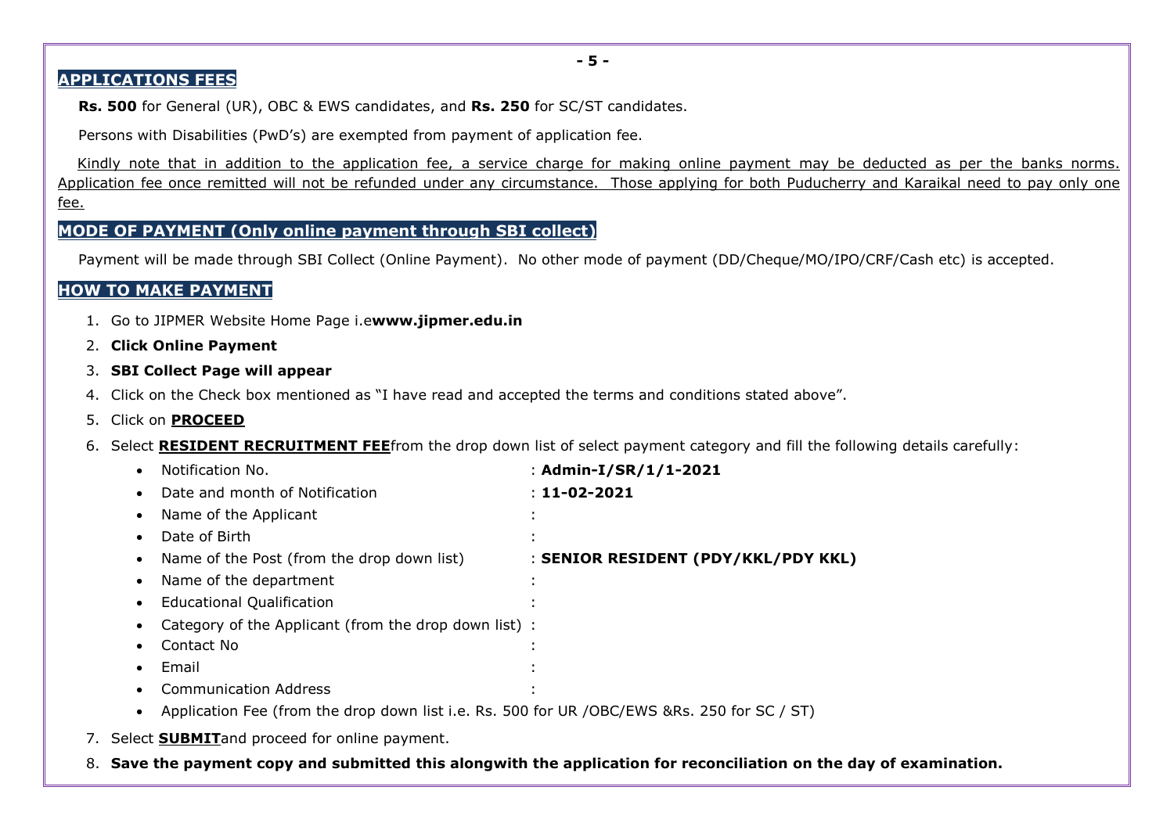**- 5 -**

## **APPLICATIONS FEES**

**Rs. 500** for General (UR), OBC & EWS candidates, and **Rs. 250** for SC/ST candidates.

Persons with Disabilities (PwD's) are exempted from payment of application fee.

Kindly note that in addition to the application fee, a service charge for making online payment may be deducted as per the banks norms. Application fee once remitted will not be refunded under any circumstance. Those applying for both Puducherry and Karaikal need to pay only one fee.

## **MODE OF PAYMENT (Only online payment through SBI collect)**

Payment will be made through SBI Collect (Online Payment). No other mode of payment (DD/Cheque/MO/IPO/CRF/Cash etc) is accepted.

## **HOW TO MAKE PAYMENT**

- 1. Go to JIPMER Website Home Page i.e**[www.jipmer.edu.in](http://www.jipmer.edu.in/)**
- 2. **Click Online Payment**
- 3. **SBI Collect Page will appear**
- 4. Click on the Check box mentioned as "I have read and accepted the terms and conditions stated above".
- 5. Click on **PROCEED**
- 6. Select **RESIDENT RECRUITMENT FEE**from the drop down list of select payment category and fill the following details carefully:

| $\bullet$ | Notification No.                                                                            | : Admin-I/SR/1/1-2021               |
|-----------|---------------------------------------------------------------------------------------------|-------------------------------------|
| $\bullet$ | Date and month of Notification                                                              | $: 11 - 02 - 2021$                  |
| $\bullet$ | Name of the Applicant                                                                       |                                     |
| $\bullet$ | Date of Birth                                                                               |                                     |
| $\bullet$ | Name of the Post (from the drop down list)                                                  | : SENIOR RESIDENT (PDY/KKL/PDY KKL) |
| $\bullet$ | Name of the department                                                                      |                                     |
| $\bullet$ | <b>Educational Qualification</b>                                                            |                                     |
|           | Category of the Applicant (from the drop down list) :                                       |                                     |
| ٠         | Contact No                                                                                  |                                     |
| $\bullet$ | Email                                                                                       |                                     |
| $\bullet$ | <b>Communication Address</b>                                                                |                                     |
|           | Application Fee (from the drop down list i.e. Rs. 500 for UR /OBC/EWS &Rs. 250 for SC / ST) |                                     |

- 7. Select **SUBMIT**and proceed for online payment.
- 8. **Save the payment copy and submitted this alongwith the application for reconciliation on the day of examination.**